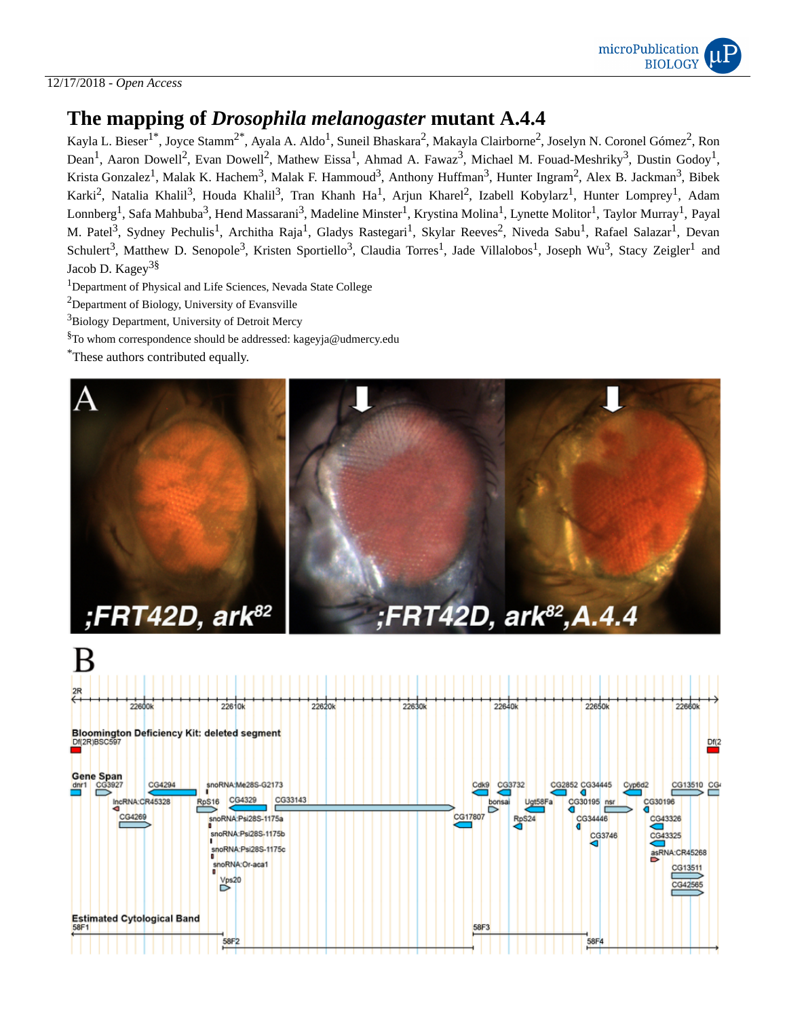

## 12/17/2018 - *Open Access*

# **The mapping of** *Drosophila melanogaster* **mutant A.4.4**

Kayla L. Bieser<sup>1\*</sup>, Joyce Stamm<sup>2\*</sup>, Ayala A. Aldo<sup>1</sup>, Suneil Bhaskara<sup>2</sup>, Makayla Clairborne<sup>2</sup>, Joselyn N. Coronel Gómez<sup>2</sup>, Ron Dean<sup>1</sup>, Aaron Dowell<sup>2</sup>, Evan Dowell<sup>2</sup>, Mathew Eissa<sup>1</sup>, Ahmad A. Fawaz<sup>3</sup>, Michael M. Fouad-Meshriky<sup>3</sup>, Dustin Godoy<sup>1</sup>, Krista Gonzalez<sup>1</sup>, Malak K. Hachem<sup>3</sup>, Malak F. Hammoud<sup>3</sup>, Anthony Huffman<sup>3</sup>, Hunter Ingram<sup>2</sup>, Alex B. Jackman<sup>3</sup>, Bibek Karki<sup>2</sup>, Natalia Khalil<sup>3</sup>, Houda Khalil<sup>3</sup>, Tran Khanh Ha<sup>1</sup>, Arjun Kharel<sup>2</sup>, Izabell Kobylarz<sup>1</sup>, Hunter Lomprey<sup>1</sup>, Adam Lonnberg<sup>1</sup>, Safa Mahbuba<sup>3</sup>, Hend Massarani<sup>3</sup>, Madeline Minster<sup>1</sup>, Krystina Molina<sup>1</sup>, Lynette Molitor<sup>1</sup>, Taylor Murray<sup>1</sup>, Payal M. Patel<sup>3</sup>, Sydney Pechulis<sup>1</sup>, Architha Raja<sup>1</sup>, Gladys Rastegari<sup>1</sup>, Skylar Reeves<sup>2</sup>, Niveda Sabu<sup>1</sup>, Rafael Salazar<sup>1</sup>, Devan Schulert<sup>3</sup>, Matthew D. Senopole<sup>3</sup>, Kristen Sportiello<sup>3</sup>, Claudia Torres<sup>1</sup>, Jade Villalobos<sup>1</sup>, Joseph Wu<sup>3</sup>, Stacy Zeigler<sup>1</sup> and Jacob D. Kagey<sup>3§</sup>

 $^{\rm 1}$ Department of Physical and Life Sciences, Nevada State College

<sup>2</sup>Department of Biology, University of Evansville

<sup>3</sup>Biology Department, University of Detroit Mercy

 ${}^{8}$ To whom correspondence should be addressed: kageyja@udmercy.edu

\*These authors contributed equally.



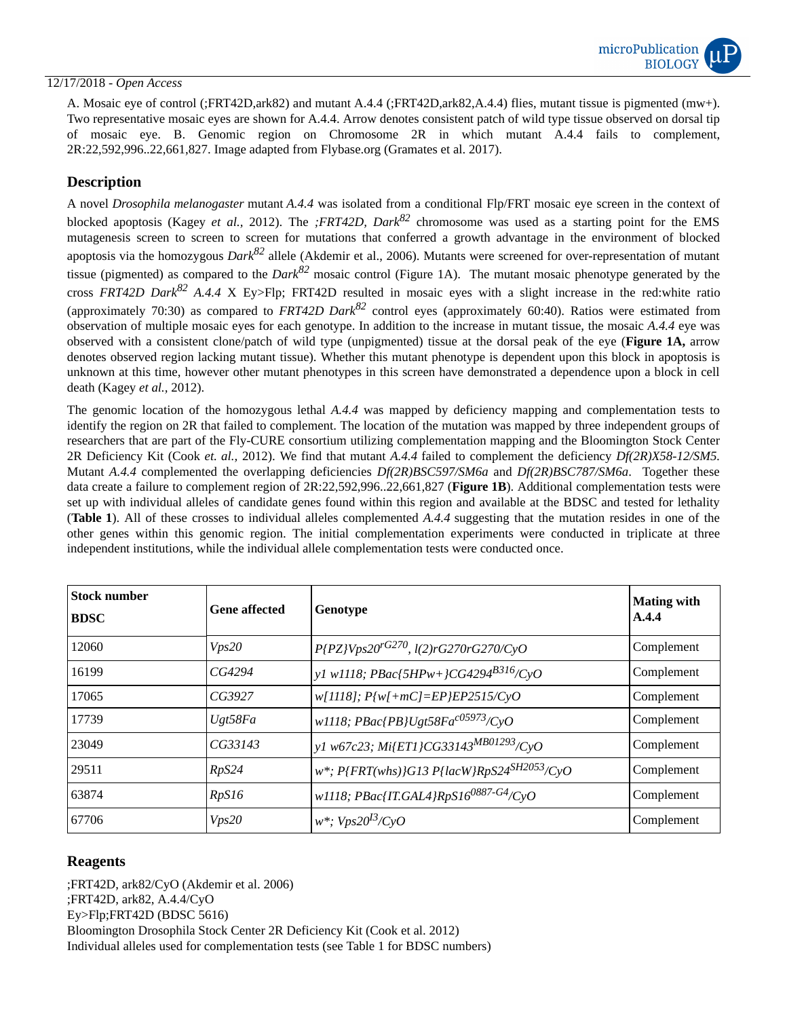### 12/17/2018 - *Open Access*

A. Mosaic eye of control (;FRT42D,ark82) and mutant A.4.4 (;FRT42D,ark82,A.4.4) flies, mutant tissue is pigmented (mw+). Two representative mosaic eyes are shown for A.4.4. Arrow denotes consistent patch of wild type tissue observed on dorsal tip of mosaic eye. B. Genomic region on Chromosome 2R in which mutant A.4.4 fails to complement, 2R:22,592,996..22,661,827. Image adapted from Flybase.org (Gramates et al. 2017).

## **Description**

A novel *Drosophila melanogaster* mutant *A.4.4* was isolated from a conditional Flp/FRT mosaic eye screen in the context of blocked apoptosis (Kagey *et al.,* 2012). The *;FRT42D, Dark <sup>82</sup>* chromosome was used as a starting point for the EMS mutagenesis screen to screen to screen for mutations that conferred a growth advantage in the environment of blocked apoptosis via the homozygous *Dark <sup>82</sup>* allele (Akdemir et al., 2006). Mutants were screened for over-representation of mutant tissue (pigmented) as compared to the *Dark <sup>82</sup>* mosaic control (Figure 1A). The mutant mosaic phenotype generated by the cross *FRT42D Dark <sup>82</sup> A.4.4* X Ey>Flp; FRT42D resulted in mosaic eyes with a slight increase in the red:white ratio (approximately 70:30) as compared to *FRT42D Dark <sup>82</sup>* control eyes (approximately 60:40). Ratios were estimated from observation of multiple mosaic eyes for each genotype. In addition to the increase in mutant tissue, the mosaic *A.4.4* eye was observed with a consistent clone/patch of wild type (unpigmented) tissue at the dorsal peak of the eye (**Figure 1A,** arrow denotes observed region lacking mutant tissue). Whether this mutant phenotype is dependent upon this block in apoptosis is unknown at this time, however other mutant phenotypes in this screen have demonstrated a dependence upon a block in cell death (Kagey *et al.,* 2012).

The genomic location of the homozygous lethal *A.4.4* was mapped by deficiency mapping and complementation tests to identify the region on 2R that failed to complement. The location of the mutation was mapped by three independent groups of researchers that are part of the Fly-CURE consortium utilizing complementation mapping and the Bloomington Stock Center 2R Deficiency Kit (Cook *et. al.,* 2012). We find that mutant *A.4.4* failed to complement the deficiency *Df(2R)X58-12/SM5.* Mutant *A.4.4* complemented the overlapping deficiencies *Df(2R)BSC597/SM6a* and *Df(2R)BSC787/SM6a*. Together these data create a failure to complement region of 2R:22,592,996..22,661,827 (**Figure 1B**). Additional complementation tests were set up with individual alleles of candidate genes found within this region and available at the BDSC and tested for lethality (**Table 1**). All of these crosses to individual alleles complemented *A.4.4* suggesting that the mutation resides in one of the other genes within this genomic region. The initial complementation experiments were conducted in triplicate at three independent institutions, while the individual allele complementation tests were conducted once.

| <b>Stock number</b><br><b>BDSC</b> | <b>Gene affected</b> | Genotype                                            | <b>Mating with</b><br>A.4.4 |
|------------------------------------|----------------------|-----------------------------------------------------|-----------------------------|
| 12060                              | Vps20                | $P\{PZ\}Vps20^{rG270}$ , l(2)rG270rG270/CyO         | Complement                  |
| 16199                              | CG4294               | y1 w1118; PBac{5HPw+}CG4294 <sup>B316</sup> /CyO    | Complement                  |
| 17065                              | CG3927               | $w[1118]$ ; $P{w[+mC]=EP}EP2515/CyO$                | Complement                  |
| 17739                              | Ugt58Fa              | w1118; PBac{PB}Ugt58Fa <sup>c05973</sup> /CyO       | Complement                  |
| 23049                              | CG33143              | y1 w67c23; Mi{ET1}CG33143 <sup>MB01293</sup> /CyO   | Complement                  |
| 29511                              | RpS24                | w*; $P\{FRT(whs)\}G13\ P\{lacW\}RpS24^{SH2053}/CyO$ | Complement                  |
| 63874                              | RpS16                | w1118; PBac{IT.GAL4}RpS160887-G4/CyO                | Complement                  |
| 67706                              | Vps20                | $w^*$ ; Vps20 <sup>I3</sup> /CyO                    | Complement                  |

# **Reagents**

;FRT42D, ark82/CyO (Akdemir et al. 2006) ;FRT42D, ark82, A.4.4/CyO Ey>Flp;FRT42D (BDSC 5616) Bloomington Drosophila Stock Center 2R Deficiency Kit (Cook et al. 2012) Individual alleles used for complementation tests (see Table 1 for BDSC numbers)